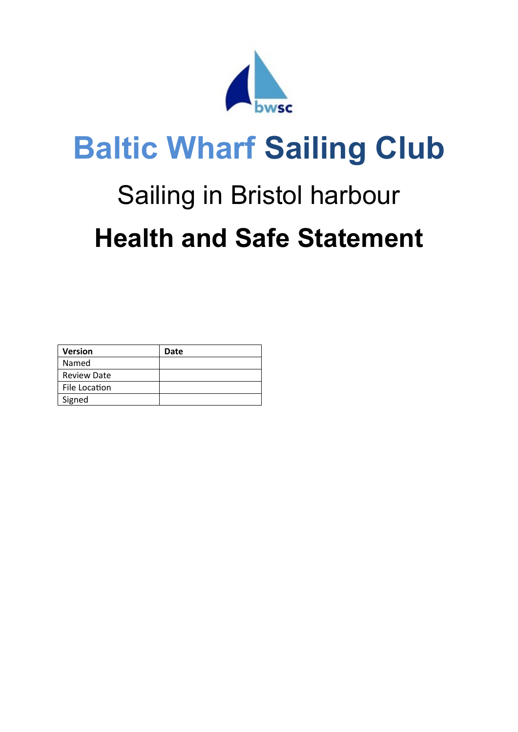

# **Baltic Wharf Sailing Club**

## Sailing in Bristol harbour **Health and Safe Statement**

| <b>Version</b>     | Date |
|--------------------|------|
| Named              |      |
| <b>Review Date</b> |      |
| File Location      |      |
| Signed             |      |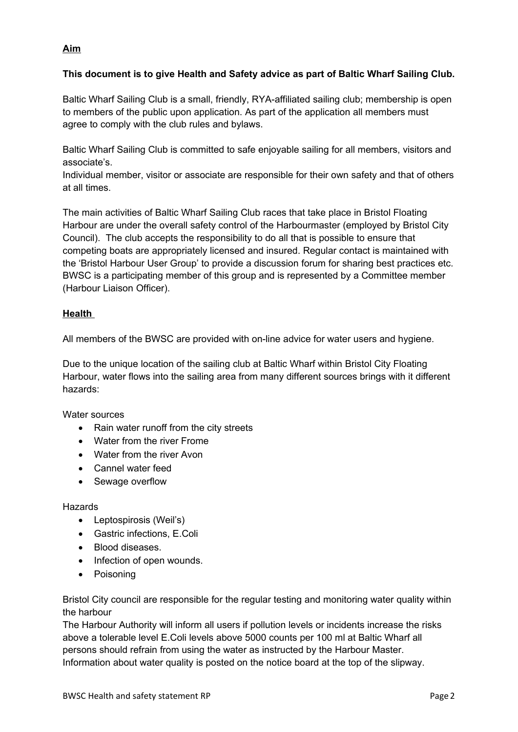### **Aim**

#### **This document is to give Health and Safety advice as part of Baltic Wharf Sailing Club.**

Baltic Wharf Sailing Club is a small, friendly, RYA-affiliated sailing club; membership is open to members of the public upon application. As part of the application all members must agree to comply with the club rules and bylaws.

Baltic Wharf Sailing Club is committed to safe enjoyable sailing for all members, visitors and associate's.

Individual member, visitor or associate are responsible for their own safety and that of others at all times.

The main activities of Baltic Wharf Sailing Club races that take place in Bristol Floating Harbour are under the overall safety control of the Harbourmaster (employed by Bristol City Council). The club accepts the responsibility to do all that is possible to ensure that competing boats are appropriately licensed and insured. Regular contact is maintained with the 'Bristol Harbour User Group' to provide a discussion forum for sharing best practices etc. BWSC is a participating member of this group and is represented by a Committee member (Harbour Liaison Officer).

#### **Health**

All members of the BWSC are provided with on-line advice for water users and hygiene.

Due to the unique location of the sailing club at Baltic Wharf within Bristol City Floating Harbour, water flows into the sailing area from many different sources brings with it different hazards:

Water sources

- Rain water runoff from the city streets
- Water from the river Frome
- Water from the river Avon
- Cannel water feed
- Sewage overflow

#### Hazards

- Leptospirosis (Weil's)
- Gastric infections, E.Coli
- Blood diseases.
- Infection of open wounds.
- Poisoning

Bristol City council are responsible for the regular testing and monitoring water quality within the harbour

The Harbour Authority will inform all users if pollution levels or incidents increase the risks above a tolerable level E.Coli levels above 5000 counts per 100 ml at Baltic Wharf all persons should refrain from using the water as instructed by the Harbour Master. Information about water quality is posted on the notice board at the top of the slipway.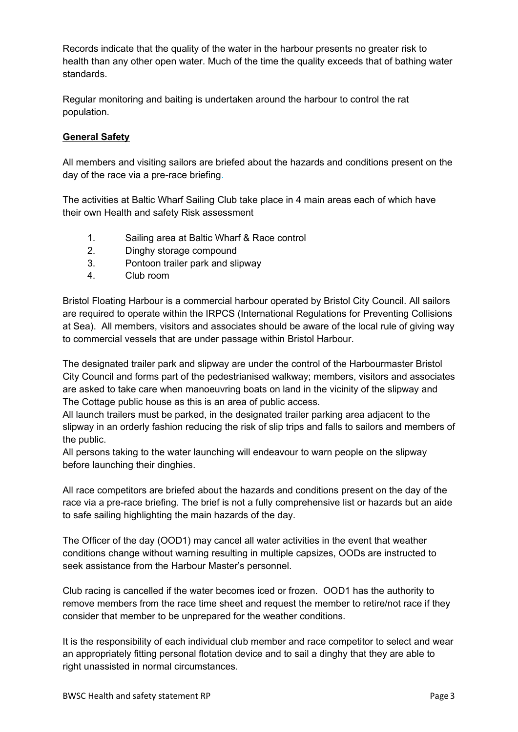Records indicate that the quality of the water in the harbour presents no greater risk to health than any other open water. Much of the time the quality exceeds that of bathing water standards.

Regular monitoring and baiting is undertaken around the harbour to control the rat population.

#### **General Safety**

All members and visiting sailors are briefed about the hazards and conditions present on the day of the race via a pre-race briefing.

The activities at Baltic Wharf Sailing Club take place in 4 main areas each of which have their own Health and safety Risk assessment

- 1. Sailing area at Baltic Wharf & Race control
- 2. Dinghy storage compound
- 3. Pontoon trailer park and slipway
- 4. Club room

Bristol Floating Harbour is a commercial harbour operated by Bristol City Council. All sailors are required to operate within the IRPCS (International Regulations for Preventing Collisions at Sea). All members, visitors and associates should be aware of the local rule of giving way to commercial vessels that are under passage within Bristol Harbour.

The designated trailer park and slipway are under the control of the Harbourmaster Bristol City Council and forms part of the pedestrianised walkway; members, visitors and associates are asked to take care when manoeuvring boats on land in the vicinity of the slipway and The Cottage public house as this is an area of public access.

All launch trailers must be parked, in the designated trailer parking area adjacent to the slipway in an orderly fashion reducing the risk of slip trips and falls to sailors and members of the public.

All persons taking to the water launching will endeavour to warn people on the slipway before launching their dinghies.

All race competitors are briefed about the hazards and conditions present on the day of the race via a pre-race briefing. The brief is not a fully comprehensive list or hazards but an aide to safe sailing highlighting the main hazards of the day.

The Officer of the day (OOD1) may cancel all water activities in the event that weather conditions change without warning resulting in multiple capsizes, OODs are instructed to seek assistance from the Harbour Master's personnel.

Club racing is cancelled if the water becomes iced or frozen. OOD1 has the authority to remove members from the race time sheet and request the member to retire/not race if they consider that member to be unprepared for the weather conditions.

It is the responsibility of each individual club member and race competitor to select and wear an appropriately fitting personal flotation device and to sail a dinghy that they are able to right unassisted in normal circumstances.